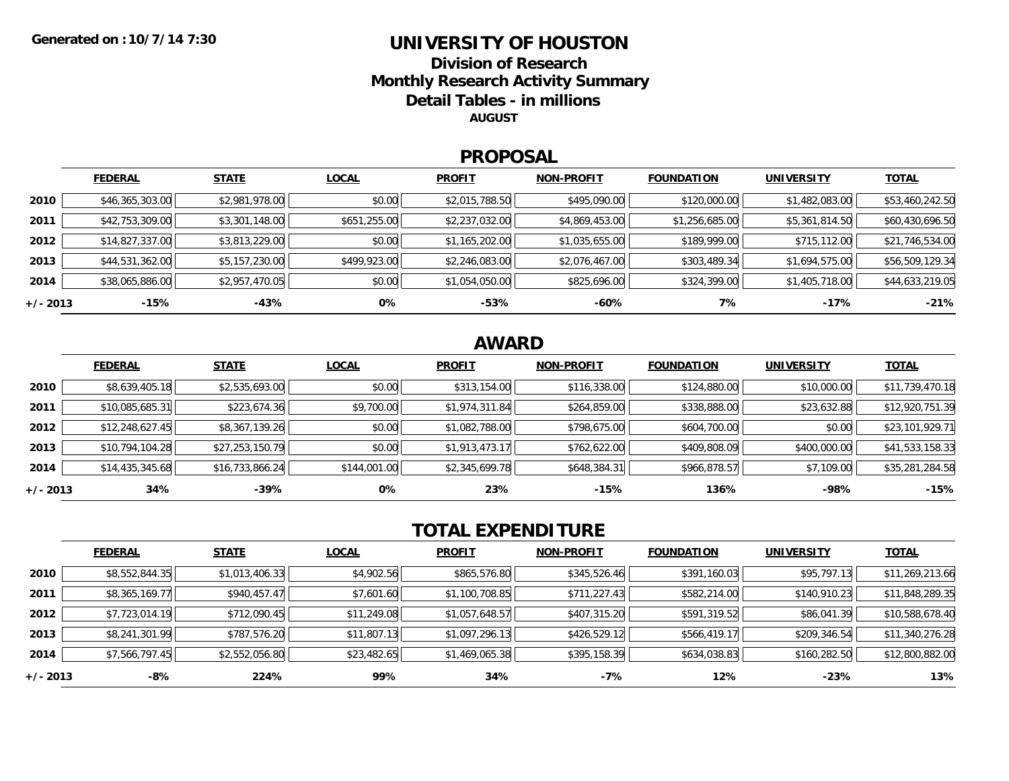## **UNIVERSITY OF HOUSTONDivision of ResearchMonthly Research Activity Summary**

**Detail Tables - in millions**

**AUGUST**

#### **PROPOSAL**

|            | <b>FEDERAL</b>  | <b>STATE</b>   | <b>LOCAL</b> | <b>PROFIT</b>  | <b>NON-PROFIT</b> | <b>FOUNDATION</b> | <b>UNIVERSITY</b> | <b>TOTAL</b>    |
|------------|-----------------|----------------|--------------|----------------|-------------------|-------------------|-------------------|-----------------|
| 2010       | \$46,365,303.00 | \$2,981,978.00 | \$0.00       | \$2,015,788.50 | \$495,090.00      | \$120,000.00      | \$1,482,083.00    | \$53,460,242.50 |
| 2011       | \$42,753,309.00 | \$3,301,148.00 | \$651,255.00 | \$2,237,032.00 | \$4,869,453.00    | \$1,256,685.00    | \$5,361,814.50    | \$60,430,696.50 |
| 2012       | \$14,827,337.00 | \$3,813,229.00 | \$0.00       | \$1,165,202.00 | \$1,035,655.00    | \$189,999.00      | \$715,112.00      | \$21,746,534.00 |
| 2013       | \$44,531,362.00 | \$5,157,230.00 | \$499,923.00 | \$2,246,083.00 | \$2,076,467.00    | \$303,489.34      | \$1,694,575.00    | \$56,509,129.34 |
| 2014       | \$38,065,886.00 | \$2,957,470.05 | \$0.00       | \$1,054,050.00 | \$825,696.00      | \$324,399.00      | \$1,405,718.00    | \$44,633,219.05 |
| $+/- 2013$ | -15%            | -43%           | 0%           | -53%           | -60%              | 7%                | $-17%$            | $-21%$          |

# **AWARD**

|            | <b>FEDERAL</b>  | <b>STATE</b>    | <b>LOCAL</b> | <b>PROFIT</b>  | <b>NON-PROFIT</b> | <b>FOUNDATION</b> | <b>UNIVERSITY</b> | <b>TOTAL</b>    |
|------------|-----------------|-----------------|--------------|----------------|-------------------|-------------------|-------------------|-----------------|
| 2010       | \$8,639,405.18  | \$2,535,693.00  | \$0.00       | \$313,154.00   | \$116,338.00      | \$124,880.00      | \$10,000.00       | \$11,739,470.18 |
| 2011       | \$10,085,685.31 | \$223,674.36    | \$9,700.00   | \$1,974,311.84 | \$264,859.00      | \$338,888.00      | \$23,632.88       | \$12,920,751.39 |
| 2012       | \$12,248,627.45 | \$8,367,139.26  | \$0.00       | \$1,082,788.00 | \$798,675.00      | \$604,700.00      | \$0.00            | \$23,101,929.71 |
| 2013       | \$10,794,104.28 | \$27,253,150.79 | \$0.00       | \$1,913,473.17 | \$762,622.00      | \$409,808.09      | \$400,000.00      | \$41,533,158.33 |
| 2014       | \$14,435,345.68 | \$16,733,866.24 | \$144,001.00 | \$2,345,699.78 | \$648,384.31      | \$966,878.57      | \$7,109.00        | \$35,281,284.58 |
| $+/- 2013$ | 34%             | -39%            | 0%           | 23%            | -15%              | 136%              | $-98%$            | $-15%$          |

# **TOTAL EXPENDITURE**

|          | <b>FEDERAL</b> | <b>STATE</b>   | <b>LOCAL</b> | <b>PROFIT</b>  | <b>NON-PROFIT</b> | <b>FOUNDATION</b> | <b>UNIVERSITY</b> | <u>TOTAL</u>    |
|----------|----------------|----------------|--------------|----------------|-------------------|-------------------|-------------------|-----------------|
| 2010     | \$8,552,844.35 | \$1,013,406.33 | \$4,902.56   | \$865,576.80   | \$345,526.46      | \$391,160.03      | \$95,797.13       | \$11,269,213.66 |
| 2011     | \$8,365,169.77 | \$940,457.47   | \$7,601.60   | \$1,100,708.85 | \$711,227.43      | \$582,214.00      | \$140,910.23      | \$11,848,289.35 |
| 2012     | \$7,723,014.19 | \$712,090.45   | \$11,249.08  | \$1,057,648.57 | \$407,315.20      | \$591,319.52      | \$86,041.39       | \$10,588,678.40 |
| 2013     | \$8,241,301.99 | \$787,576.20   | \$11,807.13  | \$1,097,296.13 | \$426,529.12      | \$566,419.17      | \$209,346.54      | \$11,340,276.28 |
| 2014     | \$7,566,797.45 | \$2,552,056.80 | \$23,482.65  | \$1,469,065.38 | \$395,158.39      | \$634,038.83      | \$160,282.50      | \$12,800,882.00 |
| +/- 2013 | -8%            | 224%           | 99%          | 34%            | $-7%$             | 12%               | $-23%$            | 13%             |